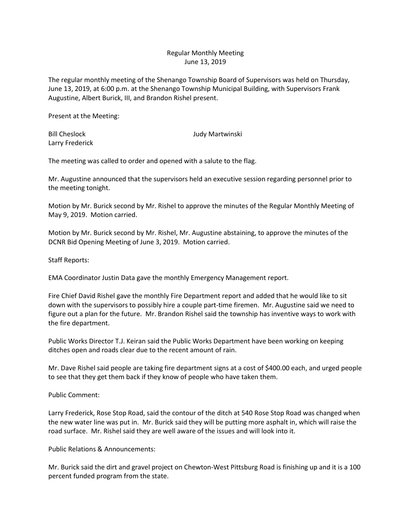## Regular Monthly Meeting June 13, 2019

The regular monthly meeting of the Shenango Township Board of Supervisors was held on Thursday, June 13, 2019, at 6:00 p.m. at the Shenango Township Municipal Building, with Supervisors Frank Augustine, Albert Burick, III, and Brandon Rishel present.

Present at the Meeting:

Larry Frederick

Bill Cheslock Judy Martwinski

The meeting was called to order and opened with a salute to the flag.

Mr. Augustine announced that the supervisors held an executive session regarding personnel prior to the meeting tonight.

Motion by Mr. Burick second by Mr. Rishel to approve the minutes of the Regular Monthly Meeting of May 9, 2019. Motion carried.

Motion by Mr. Burick second by Mr. Rishel, Mr. Augustine abstaining, to approve the minutes of the DCNR Bid Opening Meeting of June 3, 2019. Motion carried.

Staff Reports:

EMA Coordinator Justin Data gave the monthly Emergency Management report.

Fire Chief David Rishel gave the monthly Fire Department report and added that he would like to sit down with the supervisors to possibly hire a couple part-time firemen. Mr. Augustine said we need to figure out a plan for the future. Mr. Brandon Rishel said the township has inventive ways to work with the fire department.

Public Works Director T.J. Keiran said the Public Works Department have been working on keeping ditches open and roads clear due to the recent amount of rain.

Mr. Dave Rishel said people are taking fire department signs at a cost of \$400.00 each, and urged people to see that they get them back if they know of people who have taken them.

Public Comment:

Larry Frederick, Rose Stop Road, said the contour of the ditch at 540 Rose Stop Road was changed when the new water line was put in. Mr. Burick said they will be putting more asphalt in, which will raise the road surface. Mr. Rishel said they are well aware of the issues and will look into it.

Public Relations & Announcements:

Mr. Burick said the dirt and gravel project on Chewton-West Pittsburg Road is finishing up and it is a 100 percent funded program from the state.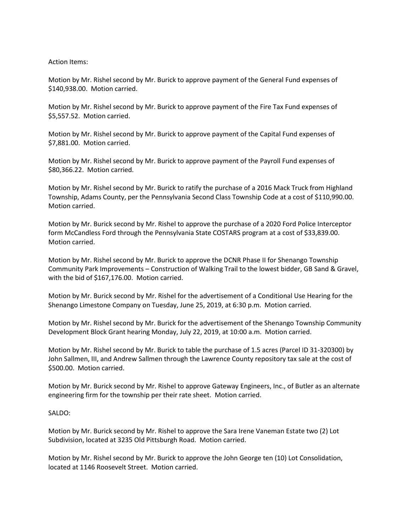## Action Items:

Motion by Mr. Rishel second by Mr. Burick to approve payment of the General Fund expenses of \$140,938.00. Motion carried.

Motion by Mr. Rishel second by Mr. Burick to approve payment of the Fire Tax Fund expenses of \$5,557.52. Motion carried.

Motion by Mr. Rishel second by Mr. Burick to approve payment of the Capital Fund expenses of \$7,881.00. Motion carried.

Motion by Mr. Rishel second by Mr. Burick to approve payment of the Payroll Fund expenses of \$80,366.22. Motion carried.

Motion by Mr. Rishel second by Mr. Burick to ratify the purchase of a 2016 Mack Truck from Highland Township, Adams County, per the Pennsylvania Second Class Township Code at a cost of \$110,990.00. Motion carried.

Motion by Mr. Burick second by Mr. Rishel to approve the purchase of a 2020 Ford Police Interceptor form McCandless Ford through the Pennsylvania State COSTARS program at a cost of \$33,839.00. Motion carried.

Motion by Mr. Rishel second by Mr. Burick to approve the DCNR Phase II for Shenango Township Community Park Improvements – Construction of Walking Trail to the lowest bidder, GB Sand & Gravel, with the bid of \$167,176.00. Motion carried.

Motion by Mr. Burick second by Mr. Rishel for the advertisement of a Conditional Use Hearing for the Shenango Limestone Company on Tuesday, June 25, 2019, at 6:30 p.m. Motion carried.

Motion by Mr. Rishel second by Mr. Burick for the advertisement of the Shenango Township Community Development Block Grant hearing Monday, July 22, 2019, at 10:00 a.m. Motion carried.

Motion by Mr. Rishel second by Mr. Burick to table the purchase of 1.5 acres (Parcel ID 31-320300) by John Sallmen, III, and Andrew Sallmen through the Lawrence County repository tax sale at the cost of \$500.00. Motion carried.

Motion by Mr. Burick second by Mr. Rishel to approve Gateway Engineers, Inc., of Butler as an alternate engineering firm for the township per their rate sheet. Motion carried.

## SALDO:

Motion by Mr. Burick second by Mr. Rishel to approve the Sara Irene Vaneman Estate two (2) Lot Subdivision, located at 3235 Old Pittsburgh Road. Motion carried.

Motion by Mr. Rishel second by Mr. Burick to approve the John George ten (10) Lot Consolidation, located at 1146 Roosevelt Street. Motion carried.